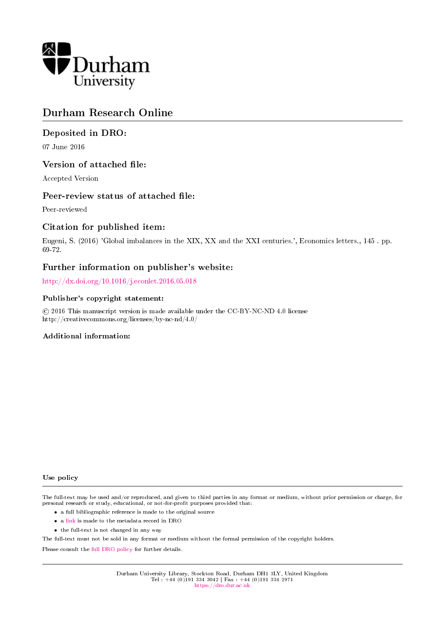

# Durham Research Online

# Deposited in DRO:

07 June 2016

## Version of attached file:

Accepted Version

## Peer-review status of attached file:

Peer-reviewed

## Citation for published item:

Eugeni, S. (2016) 'Global imbalances in the XIX, XX and the XXI centuries.', Economics letters., 145 . pp. 69-72.

## Further information on publisher's website:

<http://dx.doi.org/10.1016/j.econlet.2016.05.018>

#### Publisher's copyright statement:

 c 2016 This manuscript version is made available under the CC-BY-NC-ND 4.0 license http://creativecommons.org/licenses/by-nc-nd/4.0/

#### Additional information:

#### Use policy

The full-text may be used and/or reproduced, and given to third parties in any format or medium, without prior permission or charge, for personal research or study, educational, or not-for-profit purposes provided that:

- a full bibliographic reference is made to the original source
- a [link](http://dro.dur.ac.uk/18960/) is made to the metadata record in DRO
- the full-text is not changed in any way

The full-text must not be sold in any format or medium without the formal permission of the copyright holders.

Please consult the [full DRO policy](https://dro.dur.ac.uk/policies/usepolicy.pdf) for further details.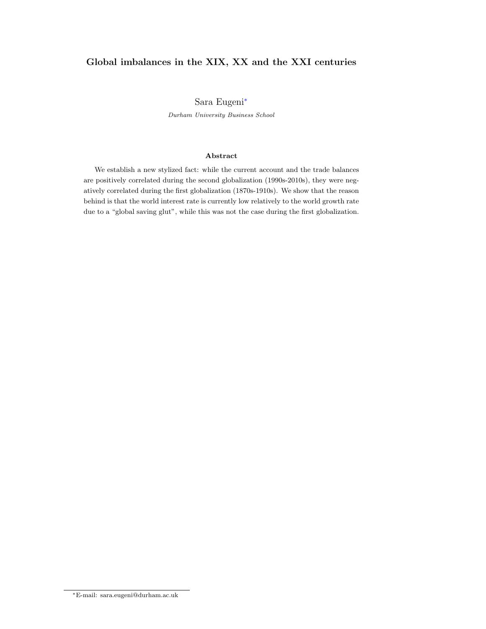# Global imbalances in the XIX, XX and the XXI centuries

#### Sara Eugeni[∗](#page-1-0)

Durham University Business School

#### Abstract

We establish a new stylized fact: while the current account and the trade balances are positively correlated during the second globalization (1990s-2010s), they were negatively correlated during the first globalization (1870s-1910s). We show that the reason behind is that the world interest rate is currently low relatively to the world growth rate due to a "global saving glut", while this was not the case during the first globalization.

<span id="page-1-0"></span><sup>∗</sup>E-mail: sara.eugeni@durham.ac.uk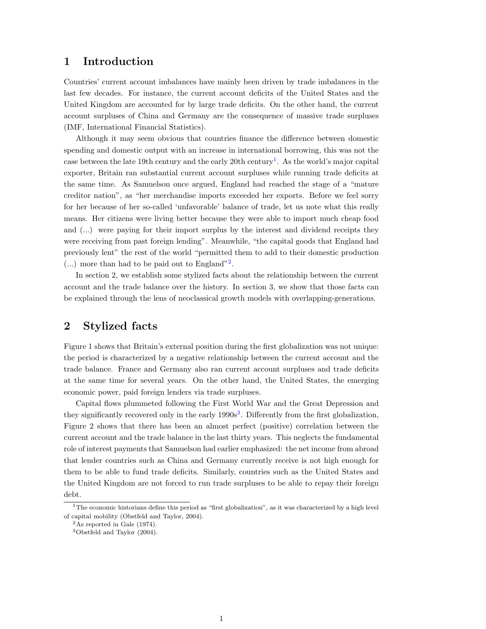## 1 Introduction

Countries' current account imbalances have mainly been driven by trade imbalances in the last few decades. For instance, the current account deficits of the United States and the United Kingdom are accounted for by large trade deficits. On the other hand, the current account surpluses of China and Germany are the consequence of massive trade surpluses (IMF, International Financial Statistics).

Although it may seem obvious that countries finance the difference between domestic spending and domestic output with an increase in international borrowing, this was not the case between the late [1](#page-2-0)9th century and the early 20th century<sup>1</sup>. As the world's major capital exporter, Britain ran substantial current account surpluses while running trade deficits at the same time. As Samuelson once argued, England had reached the stage of a "mature creditor nation", as "her merchandise imports exceeded her exports. Before we feel sorry for her because of her so-called 'unfavorable' balance of trade, let us note what this really means. Her citizens were living better because they were able to import much cheap food and (...) were paying for their import surplus by the interest and dividend receipts they were receiving from past foreign lending". Meanwhile, "the capital goods that England had previously lent" the rest of the world "permitted them to add to their domestic production  $(...)$  more than had to be paid out to England"<sup>[2](#page-2-1)</sup>.

In section 2, we establish some stylized facts about the relationship between the current account and the trade balance over the history. In section 3, we show that those facts can be explained through the lens of neoclassical growth models with overlapping-generations.

# 2 Stylized facts

Figure 1 shows that Britain's external position during the first globalization was not unique: the period is characterized by a negative relationship between the current account and the trade balance. France and Germany also ran current account surpluses and trade deficits at the same time for several years. On the other hand, the United States, the emerging economic power, paid foreign lenders via trade surpluses.

Capital flows plummeted following the First World War and the Great Depression and they significantly recovered only in the early  $1990s<sup>3</sup>$  $1990s<sup>3</sup>$  $1990s<sup>3</sup>$ . Differently from the first globalization, Figure 2 shows that there has been an almost perfect (positive) correlation between the current account and the trade balance in the last thirty years. This neglects the fundamental role of interest payments that Samuelson had earlier emphasized: the net income from abroad that lender countries such as China and Germany currently receive is not high enough for them to be able to fund trade deficits. Similarly, countries such as the United States and the United Kingdom are not forced to run trade surpluses to be able to repay their foreign debt.

<span id="page-2-0"></span> $1$ The economic historians define this period as "first globalization", as it was characterized by a high level of capital mobility (Obstfeld and Taylor, 2004).

<span id="page-2-1"></span><sup>2</sup>As reported in Gale (1974).

<span id="page-2-2"></span><sup>3</sup>Obstfeld and Taylor (2004).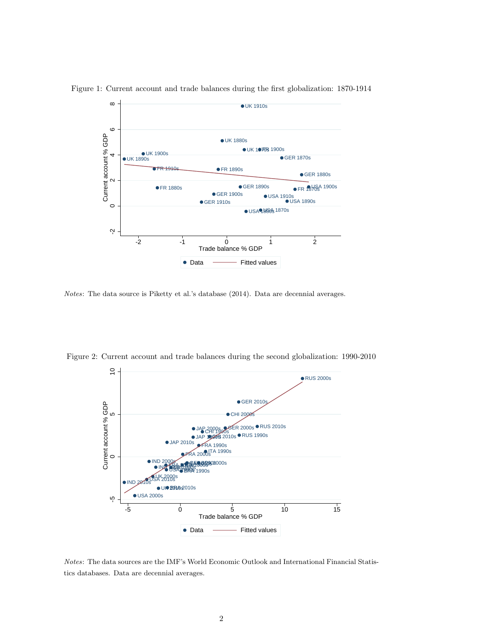

Figure 1: Current account and trade balances during the first globalization: 1870-1914

Notes: The data source is Piketty et al.'s database (2014). Data are decennial averages.



Figure 2: Current account and trade balances during the second globalization: 1990-2010

Notes: The data sources are the IMF's World Economic Outlook and International Financial Statistics databases. Data are decennial averages.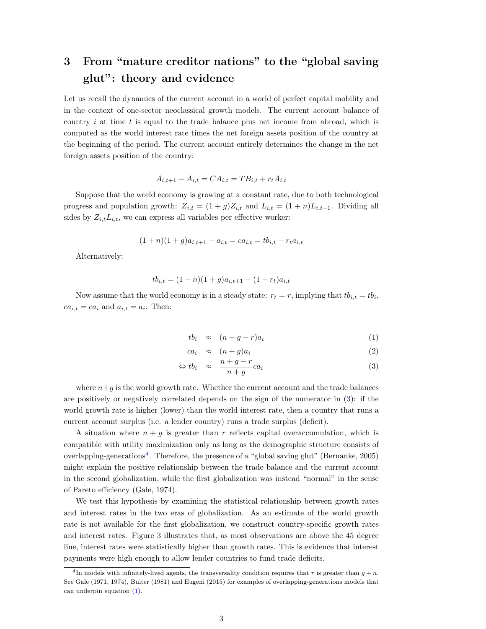# 3 From "mature creditor nations" to the "global saving glut": theory and evidence

Let us recall the dynamics of the current account in a world of perfect capital mobility and in the context of one-sector neoclassical growth models. The current account balance of country  $i$  at time  $t$  is equal to the trade balance plus net income from abroad, which is computed as the world interest rate times the net foreign assets position of the country at the beginning of the period. The current account entirely determines the change in the net foreign assets position of the country:

$$
A_{i,t+1} - A_{i,t} = CA_{i,t} = TB_{i,t} + r_t A_{i,t}
$$

Suppose that the world economy is growing at a constant rate, due to both technological progress and population growth:  $Z_{i,t} = (1+g)Z_{i,t}$  and  $L_{i,t} = (1+n)L_{i,t-1}$ . Dividing all sides by  $Z_{i,t}L_{i,t}$ , we can express all variables per effective worker:

$$
(1+n)(1+g)a_{i,t+1} - a_{i,t} = ca_{i,t} = tb_{i,t} + r_t a_{i,t}
$$

Alternatively:

$$
tb_{i,t} = (1+n)(1+g)a_{i,t+1} - (1+r_t)a_{i,t}
$$

Now assume that the world economy is in a steady state:  $r_t = r$ , implying that  $tb_{i,t} = tb_i$ ,  $ca_{i,t} = ca_i$  and  $a_{i,t} = a_i$ . Then:

<span id="page-4-0"></span>
$$
tb_i \approx (n+g-r)a_i \tag{1}
$$

$$
ca_i \approx (n+g)a_i \tag{2}
$$

$$
\Leftrightarrow tb_i \approx \frac{n+g-r}{n+g}ca_i \tag{3}
$$

where  $n+q$  is the world growth rate. Whether the current account and the trade balances are positively or negatively correlated depends on the sign of the numerator in [\(3\)](#page-4-0): if the world growth rate is higher (lower) than the world interest rate, then a country that runs a current account surplus (i.e. a lender country) runs a trade surplus (deficit).

A situation where  $n + q$  is greater than r reflects capital overaccumulation, which is compatible with utility maximization only as long as the demographic structure consists of overlapping-generations<sup>[4](#page-4-1)</sup>. Therefore, the presence of a "global saving glut" (Bernanke, 2005) might explain the positive relationship between the trade balance and the current account in the second globalization, while the first globalization was instead "normal" in the sense of Pareto efficiency (Gale, 1974).

We test this hypothesis by examining the statistical relationship between growth rates and interest rates in the two eras of globalization. As an estimate of the world growth rate is not available for the first globalization, we construct country-specific growth rates and interest rates. Figure 3 illustrates that, as most observations are above the 45 degree line, interest rates were statistically higher than growth rates. This is evidence that interest payments were high enough to allow lender countries to fund trade deficits.

<span id="page-4-1"></span><sup>&</sup>lt;sup>4</sup>In models with infinitely-lived agents, the transversality condition requires that r is greater than  $g + n$ . See Gale (1971, 1974), Buiter (1981) and Eugeni (2015) for examples of overlapping-generations models that can underpin equation [\(1\)](#page-4-0).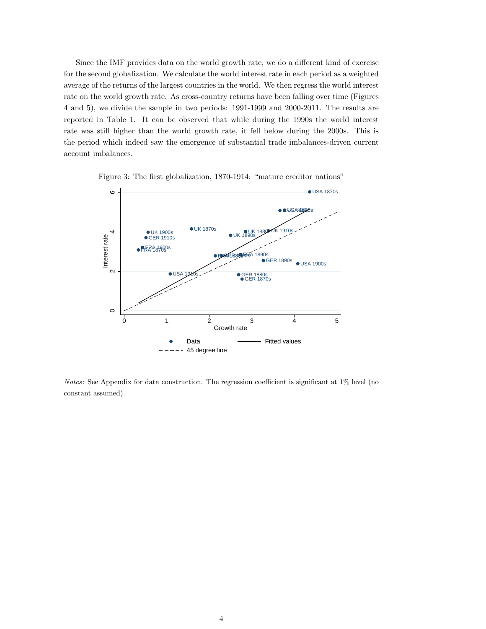Since the IMF provides data on the world growth rate, we do a different kind of exercise for the second globalization. We calculate the world interest rate in each period as a weighted average of the returns of the largest countries in the world. We then regress the world interest rate on the world growth rate. As cross-country returns have been falling over time (Figures 4 and 5), we divide the sample in two periods: 1991-1999 and 2000-2011. The results are reported in Table 1. It can be observed that while during the 1990s the world interest rate was still higher than the world growth rate, it fell below during the 2000s. This is the period which indeed saw the emergence of substantial trade imbalances-driven current account imbalances.





Notes: See Appendix for data construction. The regression coefficient is significant at 1% level (no constant assumed).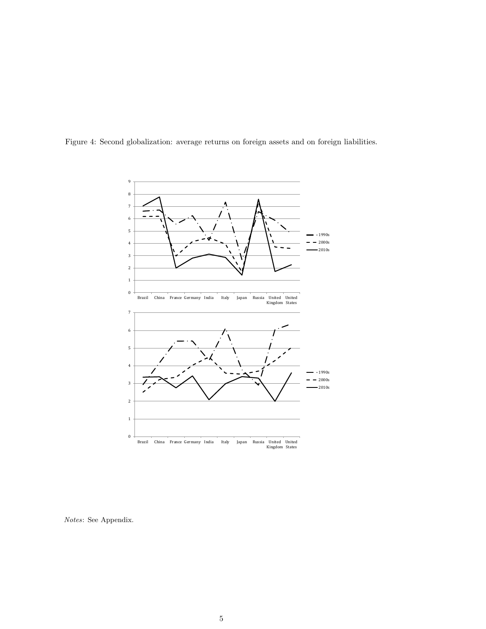

Figure 4: Second globalization: average returns on foreign assets and on foreign liabilities.

Notes: See Appendix.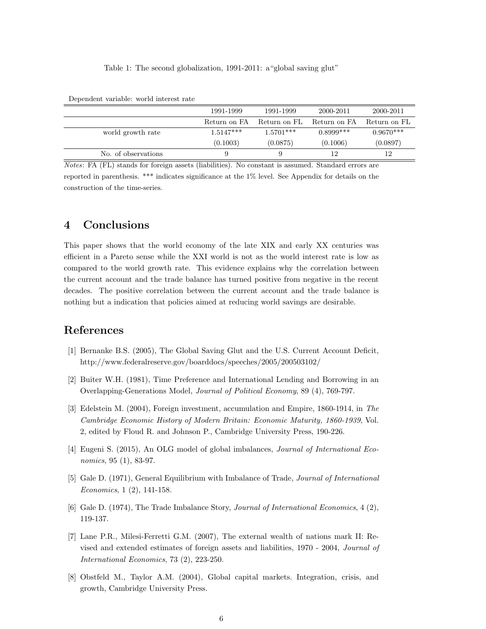#### Table 1: The second globalization, 1991-2011: a"global saving glut"

|                     | 1991-1999    | 1991-1999    | 2000-2011    | 2000-2011    |
|---------------------|--------------|--------------|--------------|--------------|
|                     | Return on FA | Return on FL | Return on FA | Return on FL |
| world growth rate   | $1.5147***$  | $1.5701***$  | $0.8999***$  | $0.9670***$  |
|                     | (0.1003)     | (0.0875)     | (0.1006)     | (0.0897)     |
| No. of observations |              | 9            | 12           | 12           |

Dependent variable: world interest rate

Notes: FA (FL) stands for foreign assets (liabilities). No constant is assumed. Standard errors are reported in parenthesis. \*\*\* indicates significance at the 1% level. See Appendix for details on the construction of the time-series.

# 4 Conclusions

This paper shows that the world economy of the late XIX and early XX centuries was efficient in a Pareto sense while the XXI world is not as the world interest rate is low as compared to the world growth rate. This evidence explains why the correlation between the current account and the trade balance has turned positive from negative in the recent decades. The positive correlation between the current account and the trade balance is nothing but a indication that policies aimed at reducing world savings are desirable.

# References

- [1] Bernanke B.S. (2005), The Global Saving Glut and the U.S. Current Account Deficit, http://www.federalreserve.gov/boarddocs/speeches/2005/200503102/
- [2] Buiter W.H. (1981), Time Preference and International Lending and Borrowing in an Overlapping-Generations Model, Journal of Political Economy, 89 (4), 769-797.
- [3] Edelstein M. (2004), Foreign investment, accumulation and Empire, 1860-1914, in The Cambridge Economic History of Modern Britain: Economic Maturity, 1860-1939, Vol. 2, edited by Floud R. and Johnson P., Cambridge University Press, 190-226.
- [4] Eugeni S. (2015), An OLG model of global imbalances, Journal of International Economics, 95 (1), 83-97.
- [5] Gale D. (1971), General Equilibrium with Imbalance of Trade, Journal of International Economics, 1 (2), 141-158.
- [6] Gale D. (1974), The Trade Imbalance Story, Journal of International Economics, 4 (2), 119-137.
- [7] Lane P.R., Milesi-Ferretti G.M. (2007), The external wealth of nations mark II: Revised and extended estimates of foreign assets and liabilities, 1970 - 2004, Journal of International Economics, 73 (2), 223-250.
- [8] Obstfeld M., Taylor A.M. (2004), Global capital markets. Integration, crisis, and growth, Cambridge University Press.